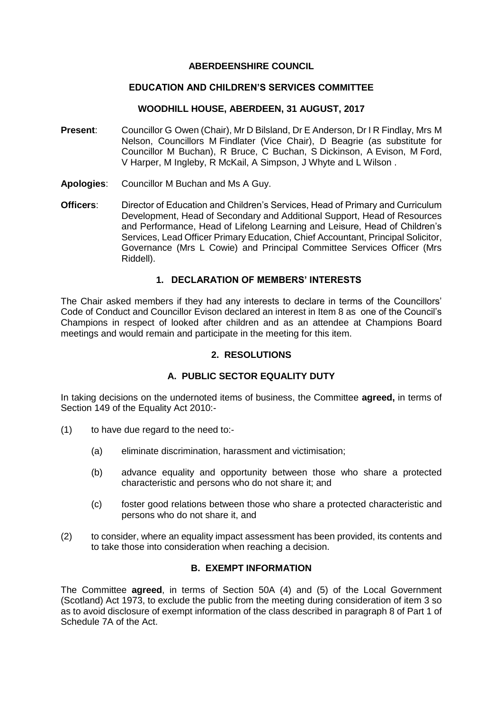#### **ABERDEENSHIRE COUNCIL**

## **EDUCATION AND CHILDREN'S SERVICES COMMITTEE**

## **WOODHILL HOUSE, ABERDEEN, 31 AUGUST, 2017**

- **Present**: Councillor G Owen (Chair), Mr D Bilsland, Dr E Anderson, Dr I R Findlay, Mrs M Nelson, Councillors M Findlater (Vice Chair), D Beagrie (as substitute for Councillor M Buchan), R Bruce, C Buchan, S Dickinson, A Evison, M Ford, V Harper, M Ingleby, R McKail, A Simpson, J Whyte and L Wilson .
- **Apologies**: Councillor M Buchan and Ms A Guy.
- **Officers**: Director of Education and Children's Services, Head of Primary and Curriculum Development, Head of Secondary and Additional Support, Head of Resources and Performance, Head of Lifelong Learning and Leisure, Head of Children's Services, Lead Officer Primary Education, Chief Accountant, Principal Solicitor, Governance (Mrs L Cowie) and Principal Committee Services Officer (Mrs Riddell).

## **1. DECLARATION OF MEMBERS' INTERESTS**

The Chair asked members if they had any interests to declare in terms of the Councillors' Code of Conduct and Councillor Evison declared an interest in Item 8 as one of the Council's Champions in respect of looked after children and as an attendee at Champions Board meetings and would remain and participate in the meeting for this item.

### **2. RESOLUTIONS**

## **A. PUBLIC SECTOR EQUALITY DUTY**

In taking decisions on the undernoted items of business, the Committee **agreed,** in terms of Section 149 of the Equality Act 2010:-

- (1) to have due regard to the need to:-
	- (a) eliminate discrimination, harassment and victimisation;
	- (b) advance equality and opportunity between those who share a protected characteristic and persons who do not share it; and
	- (c) foster good relations between those who share a protected characteristic and persons who do not share it, and
- (2) to consider, where an equality impact assessment has been provided, its contents and to take those into consideration when reaching a decision.

# **B. EXEMPT INFORMATION**

The Committee **agreed**, in terms of Section 50A (4) and (5) of the Local Government (Scotland) Act 1973, to exclude the public from the meeting during consideration of item 3 so as to avoid disclosure of exempt information of the class described in paragraph 8 of Part 1 of Schedule 7A of the Act.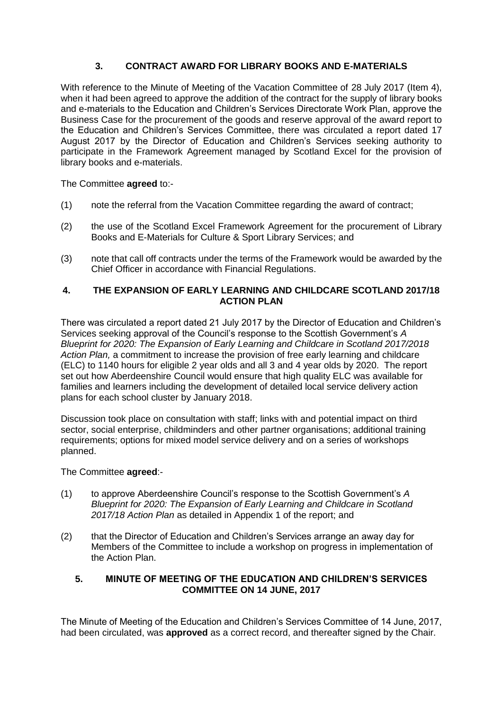# **3. CONTRACT AWARD FOR LIBRARY BOOKS AND E-MATERIALS**

With reference to the Minute of Meeting of the Vacation Committee of 28 July 2017 (Item 4). when it had been agreed to approve the addition of the contract for the supply of library books and e-materials to the Education and Children's Services Directorate Work Plan, approve the Business Case for the procurement of the goods and reserve approval of the award report to the Education and Children's Services Committee, there was circulated a report dated 17 August 2017 by the Director of Education and Children's Services seeking authority to participate in the Framework Agreement managed by Scotland Excel for the provision of library books and e-materials.

The Committee **agreed** to:-

- (1) note the referral from the Vacation Committee regarding the award of contract;
- (2) the use of the Scotland Excel Framework Agreement for the procurement of Library Books and E-Materials for Culture & Sport Library Services; and
- (3) note that call off contracts under the terms of the Framework would be awarded by the Chief Officer in accordance with Financial Regulations.

## **4. THE EXPANSION OF EARLY LEARNING AND CHILDCARE SCOTLAND 2017/18 ACTION PLAN**

There was circulated a report dated 21 July 2017 by the Director of Education and Children's Services seeking approval of the Council's response to the Scottish Government's *A Blueprint for 2020: The Expansion of Early Learning and Childcare in Scotland 2017/2018 Action Plan,* a commitment to increase the provision of free early learning and childcare (ELC) to 1140 hours for eligible 2 year olds and all 3 and 4 year olds by 2020. The report set out how Aberdeenshire Council would ensure that high quality ELC was available for families and learners including the development of detailed local service delivery action plans for each school cluster by January 2018.

Discussion took place on consultation with staff; links with and potential impact on third sector, social enterprise, childminders and other partner organisations; additional training requirements; options for mixed model service delivery and on a series of workshops planned.

## The Committee **agreed**:-

- (1) to approve Aberdeenshire Council's response to the Scottish Government's *A Blueprint for 2020: The Expansion of Early Learning and Childcare in Scotland 2017/18 Action Plan* as detailed in Appendix 1 of the report; and
- (2) that the Director of Education and Children's Services arrange an away day for Members of the Committee to include a workshop on progress in implementation of the Action Plan.

# **5. MINUTE OF MEETING OF THE EDUCATION AND CHILDREN'S SERVICES COMMITTEE ON 14 JUNE, 2017**

The Minute of Meeting of the Education and Children's Services Committee of 14 June, 2017, had been circulated, was **approved** as a correct record, and thereafter signed by the Chair.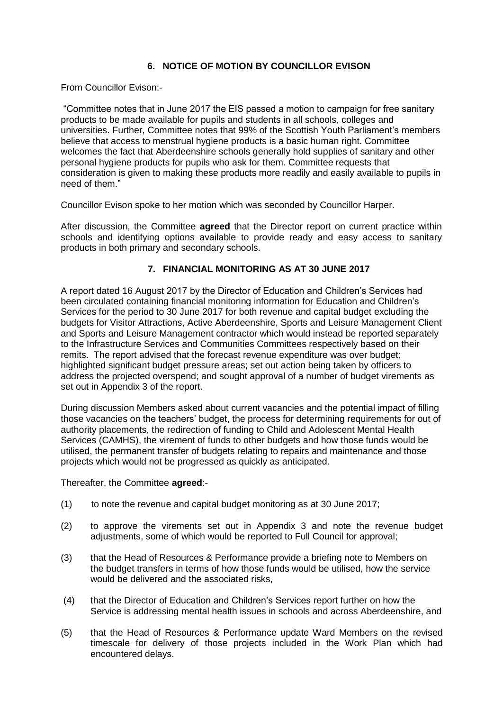# **6. NOTICE OF MOTION BY COUNCILLOR EVISON**

From Councillor Evison:-

"Committee notes that in June 2017 the EIS passed a motion to campaign for free sanitary products to be made available for pupils and students in all schools, colleges and universities. Further, Committee notes that 99% of the Scottish Youth Parliament's members believe that access to menstrual hygiene products is a basic human right. Committee welcomes the fact that Aberdeenshire schools generally hold supplies of sanitary and other personal hygiene products for pupils who ask for them. Committee requests that consideration is given to making these products more readily and easily available to pupils in need of them."

Councillor Evison spoke to her motion which was seconded by Councillor Harper.

After discussion, the Committee **agreed** that the Director report on current practice within schools and identifying options available to provide ready and easy access to sanitary products in both primary and secondary schools.

## **7. FINANCIAL MONITORING AS AT 30 JUNE 2017**

A report dated 16 August 2017 by the Director of Education and Children's Services had been circulated containing financial monitoring information for Education and Children's Services for the period to 30 June 2017 for both revenue and capital budget excluding the budgets for Visitor Attractions, Active Aberdeenshire, Sports and Leisure Management Client and Sports and Leisure Management contractor which would instead be reported separately to the Infrastructure Services and Communities Committees respectively based on their remits. The report advised that the forecast revenue expenditure was over budget; highlighted significant budget pressure areas; set out action being taken by officers to address the projected overspend; and sought approval of a number of budget virements as set out in Appendix 3 of the report.

During discussion Members asked about current vacancies and the potential impact of filling those vacancies on the teachers' budget, the process for determining requirements for out of authority placements, the redirection of funding to Child and Adolescent Mental Health Services (CAMHS), the virement of funds to other budgets and how those funds would be utilised, the permanent transfer of budgets relating to repairs and maintenance and those projects which would not be progressed as quickly as anticipated.

Thereafter, the Committee **agreed**:-

- (1) to note the revenue and capital budget monitoring as at 30 June 2017;
- (2) to approve the virements set out in Appendix 3 and note the revenue budget adjustments, some of which would be reported to Full Council for approval;
- (3) that the Head of Resources & Performance provide a briefing note to Members on the budget transfers in terms of how those funds would be utilised, how the service would be delivered and the associated risks,
- (4) that the Director of Education and Children's Services report further on how the Service is addressing mental health issues in schools and across Aberdeenshire, and
- (5) that the Head of Resources & Performance update Ward Members on the revised timescale for delivery of those projects included in the Work Plan which had encountered delays.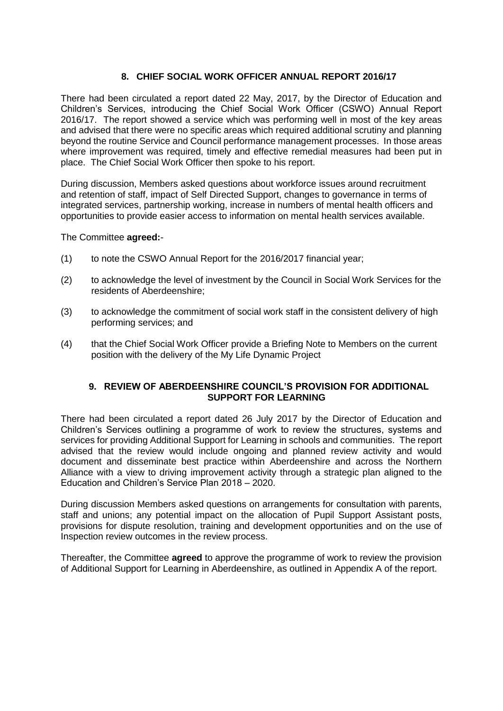# **8. CHIEF SOCIAL WORK OFFICER ANNUAL REPORT 2016/17**

There had been circulated a report dated 22 May, 2017, by the Director of Education and Children's Services, introducing the Chief Social Work Officer (CSWO) Annual Report 2016/17. The report showed a service which was performing well in most of the key areas and advised that there were no specific areas which required additional scrutiny and planning beyond the routine Service and Council performance management processes. In those areas where improvement was required, timely and effective remedial measures had been put in place. The Chief Social Work Officer then spoke to his report.

During discussion, Members asked questions about workforce issues around recruitment and retention of staff, impact of Self Directed Support, changes to governance in terms of integrated services, partnership working, increase in numbers of mental health officers and opportunities to provide easier access to information on mental health services available.

### The Committee **agreed:**-

- (1) to note the CSWO Annual Report for the 2016/2017 financial year;
- (2) to acknowledge the level of investment by the Council in Social Work Services for the residents of Aberdeenshire;
- (3) to acknowledge the commitment of social work staff in the consistent delivery of high performing services; and
- (4) that the Chief Social Work Officer provide a Briefing Note to Members on the current position with the delivery of the My Life Dynamic Project

## **9. REVIEW OF ABERDEENSHIRE COUNCIL'S PROVISION FOR ADDITIONAL SUPPORT FOR LEARNING**

There had been circulated a report dated 26 July 2017 by the Director of Education and Children's Services outlining a programme of work to review the structures, systems and services for providing Additional Support for Learning in schools and communities. The report advised that the review would include ongoing and planned review activity and would document and disseminate best practice within Aberdeenshire and across the Northern Alliance with a view to driving improvement activity through a strategic plan aligned to the Education and Children's Service Plan 2018 – 2020.

During discussion Members asked questions on arrangements for consultation with parents, staff and unions; any potential impact on the allocation of Pupil Support Assistant posts, provisions for dispute resolution, training and development opportunities and on the use of Inspection review outcomes in the review process.

Thereafter, the Committee **agreed** to approve the programme of work to review the provision of Additional Support for Learning in Aberdeenshire, as outlined in Appendix A of the report.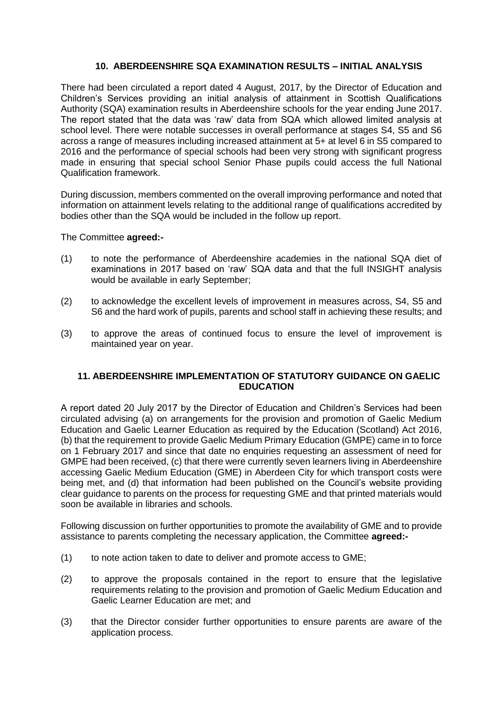## **10. ABERDEENSHIRE SQA EXAMINATION RESULTS – INITIAL ANALYSIS**

There had been circulated a report dated 4 August, 2017, by the Director of Education and Children's Services providing an initial analysis of attainment in Scottish Qualifications Authority (SQA) examination results in Aberdeenshire schools for the year ending June 2017. The report stated that the data was 'raw' data from SQA which allowed limited analysis at school level. There were notable successes in overall performance at stages S4, S5 and S6 across a range of measures including increased attainment at 5+ at level 6 in S5 compared to 2016 and the performance of special schools had been very strong with significant progress made in ensuring that special school Senior Phase pupils could access the full National Qualification framework.

During discussion, members commented on the overall improving performance and noted that information on attainment levels relating to the additional range of qualifications accredited by bodies other than the SQA would be included in the follow up report.

### The Committee **agreed:-**

- (1) to note the performance of Aberdeenshire academies in the national SQA diet of examinations in 2017 based on 'raw' SQA data and that the full INSIGHT analysis would be available in early September;
- (2) to acknowledge the excellent levels of improvement in measures across, S4, S5 and S6 and the hard work of pupils, parents and school staff in achieving these results; and
- (3) to approve the areas of continued focus to ensure the level of improvement is maintained year on year.

## **11. ABERDEENSHIRE IMPLEMENTATION OF STATUTORY GUIDANCE ON GAELIC EDUCATION**

A report dated 20 July 2017 by the Director of Education and Children's Services had been circulated advising (a) on arrangements for the provision and promotion of Gaelic Medium Education and Gaelic Learner Education as required by the Education (Scotland) Act 2016, (b) that the requirement to provide Gaelic Medium Primary Education (GMPE) came in to force on 1 February 2017 and since that date no enquiries requesting an assessment of need for GMPE had been received, (c) that there were currently seven learners living in Aberdeenshire accessing Gaelic Medium Education (GME) in Aberdeen City for which transport costs were being met, and (d) that information had been published on the Council's website providing clear guidance to parents on the process for requesting GME and that printed materials would soon be available in libraries and schools.

Following discussion on further opportunities to promote the availability of GME and to provide assistance to parents completing the necessary application, the Committee **agreed:-**

- (1) to note action taken to date to deliver and promote access to GME;
- (2) to approve the proposals contained in the report to ensure that the legislative requirements relating to the provision and promotion of Gaelic Medium Education and Gaelic Learner Education are met; and
- (3) that the Director consider further opportunities to ensure parents are aware of the application process.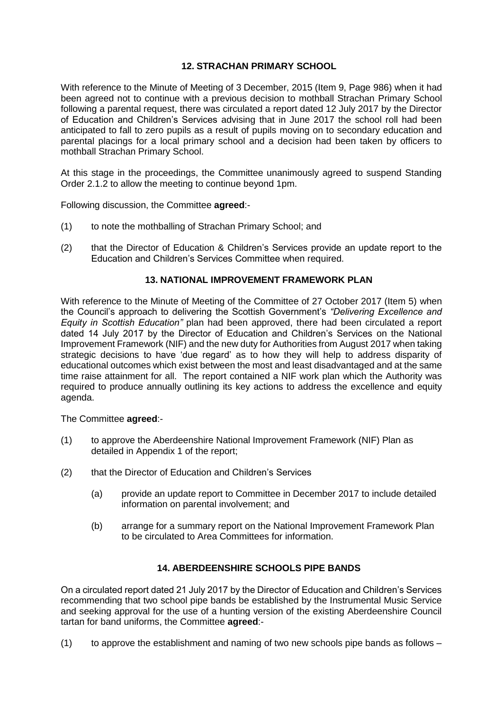# **12. STRACHAN PRIMARY SCHOOL**

With reference to the Minute of Meeting of 3 December, 2015 (Item 9, Page 986) when it had been agreed not to continue with a previous decision to mothball Strachan Primary School following a parental request, there was circulated a report dated 12 July 2017 by the Director of Education and Children's Services advising that in June 2017 the school roll had been anticipated to fall to zero pupils as a result of pupils moving on to secondary education and parental placings for a local primary school and a decision had been taken by officers to mothball Strachan Primary School.

At this stage in the proceedings, the Committee unanimously agreed to suspend Standing Order 2.1.2 to allow the meeting to continue beyond 1pm.

Following discussion, the Committee **agreed**:-

- (1) to note the mothballing of Strachan Primary School; and
- (2) that the Director of Education & Children's Services provide an update report to the Education and Children's Services Committee when required.

### **13. NATIONAL IMPROVEMENT FRAMEWORK PLAN**

With reference to the Minute of Meeting of the Committee of 27 October 2017 (Item 5) when the Council's approach to delivering the Scottish Government's *"Delivering Excellence and Equity in Scottish Education"* plan had been approved, there had been circulated a report dated 14 July 2017 by the Director of Education and Children's Services on the National Improvement Framework (NIF) and the new duty for Authorities from August 2017 when taking strategic decisions to have 'due regard' as to how they will help to address disparity of educational outcomes which exist between the most and least disadvantaged and at the same time raise attainment for all. The report contained a NIF work plan which the Authority was required to produce annually outlining its key actions to address the excellence and equity agenda.

The Committee **agreed**:-

- (1) to approve the Aberdeenshire National Improvement Framework (NIF) Plan as detailed in Appendix 1 of the report;
- (2) that the Director of Education and Children's Services
	- (a) provide an update report to Committee in December 2017 to include detailed information on parental involvement; and
	- (b) arrange for a summary report on the National Improvement Framework Plan to be circulated to Area Committees for information.

## **14. ABERDEENSHIRE SCHOOLS PIPE BANDS**

On a circulated report dated 21 July 2017 by the Director of Education and Children's Services recommending that two school pipe bands be established by the Instrumental Music Service and seeking approval for the use of a hunting version of the existing Aberdeenshire Council tartan for band uniforms, the Committee **agreed**:-

(1) to approve the establishment and naming of two new schools pipe bands as follows  $-$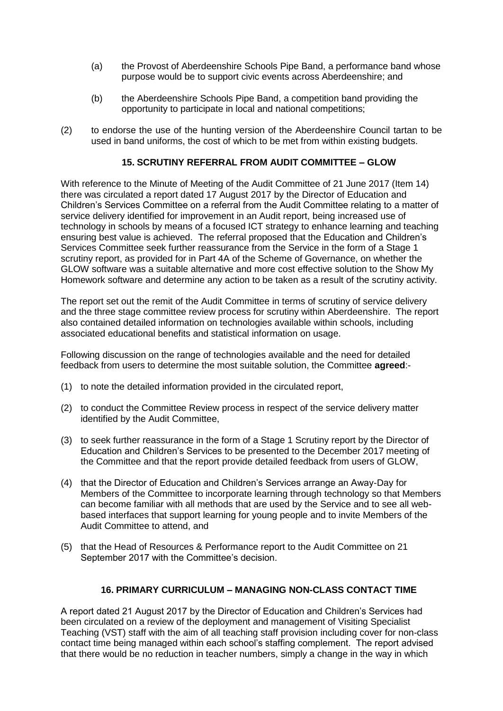- (a) the Provost of Aberdeenshire Schools Pipe Band, a performance band whose purpose would be to support civic events across Aberdeenshire; and
- (b) the Aberdeenshire Schools Pipe Band, a competition band providing the opportunity to participate in local and national competitions;
- (2) to endorse the use of the hunting version of the Aberdeenshire Council tartan to be used in band uniforms, the cost of which to be met from within existing budgets.

## **15. SCRUTINY REFERRAL FROM AUDIT COMMITTEE – GLOW**

With reference to the Minute of Meeting of the Audit Committee of 21 June 2017 (Item 14) there was circulated a report dated 17 August 2017 by the Director of Education and Children's Services Committee on a referral from the Audit Committee relating to a matter of service delivery identified for improvement in an Audit report, being increased use of technology in schools by means of a focused ICT strategy to enhance learning and teaching ensuring best value is achieved. The referral proposed that the Education and Children's Services Committee seek further reassurance from the Service in the form of a Stage 1 scrutiny report, as provided for in Part 4A of the Scheme of Governance, on whether the GLOW software was a suitable alternative and more cost effective solution to the Show My Homework software and determine any action to be taken as a result of the scrutiny activity.

The report set out the remit of the Audit Committee in terms of scrutiny of service delivery and the three stage committee review process for scrutiny within Aberdeenshire. The report also contained detailed information on technologies available within schools, including associated educational benefits and statistical information on usage.

Following discussion on the range of technologies available and the need for detailed feedback from users to determine the most suitable solution, the Committee **agreed**:-

- (1) to note the detailed information provided in the circulated report,
- (2) to conduct the Committee Review process in respect of the service delivery matter identified by the Audit Committee,
- (3) to seek further reassurance in the form of a Stage 1 Scrutiny report by the Director of Education and Children's Services to be presented to the December 2017 meeting of the Committee and that the report provide detailed feedback from users of GLOW,
- (4) that the Director of Education and Children's Services arrange an Away-Day for Members of the Committee to incorporate learning through technology so that Members can become familiar with all methods that are used by the Service and to see all webbased interfaces that support learning for young people and to invite Members of the Audit Committee to attend, and
- (5) that the Head of Resources & Performance report to the Audit Committee on 21 September 2017 with the Committee's decision.

## **16. PRIMARY CURRICULUM – MANAGING NON-CLASS CONTACT TIME**

A report dated 21 August 2017 by the Director of Education and Children's Services had been circulated on a review of the deployment and management of Visiting Specialist Teaching (VST) staff with the aim of all teaching staff provision including cover for non-class contact time being managed within each school's staffing complement. The report advised that there would be no reduction in teacher numbers, simply a change in the way in which